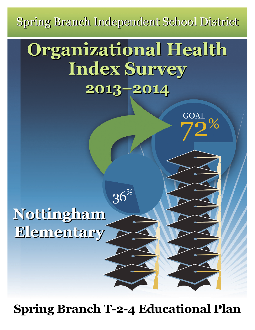Spring Branch Independent School District

# **Organizational Health Organizational Health Index Survey Index Survey 2013–2014 2013–2014**

GOAL<br>70%

 $36\%$ 

**Nottingham Nottingham Elementary Elementary**

**Spring Branch T-2-4 Educational Plan**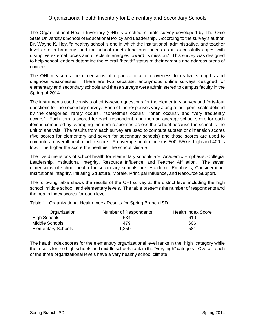### Organizational Health Inventory for Elementary and Secondary Schools

The Organizational Health Inventory (OHI) is a school climate survey developed by The Ohio State University's School of Educational Policy and Leadership. According to the survey's author, Dr. Wayne K. Hoy, "a healthy school is one in which the institutional, administrative, and teacher levels are in harmony; and the school meets functional needs as it successfully copes with disruptive external forces and directs its energies toward its mission." This survey was designed to help school leaders determine the overall "health" status of their campus and address areas of concern.

The OHI measures the dimensions of organizational effectiveness to realize strengths and diagnose weaknesses. There are two separate, anonymous online surveys designed for elementary and secondary schools and these surveys were administered to campus faculty in the Spring of 2014.

The instruments used consists of thirty-seven questions for the elementary survey and forty-four questions for the secondary survey. Each of the responses vary along a four-point scale defined by the categories "rarely occurs", "sometimes occurs", "often occurs", and "very frequently occurs". Each item is scored for each respondent, and then an average school score for each item is computed by averaging the item responses across the school because the school is the unit of analysis. The results from each survey are used to compute subtest or dimension scores (five scores for elementary and seven for secondary schools) and those scores are used to compute an overall health index score. An average health index is 500; 550 is high and 400 is low. The higher the score the healthier the school climate.

The five dimensions of school health for elementary schools are: Academic Emphasis, Collegial Leadership, Institutional Integrity, Resource Influence, and Teacher Affiliation. The seven dimensions of school health for secondary schools are: Academic Emphasis, Consideration, Institutional Integrity, Initiating Structure, Morale, Principal Influence, and Resource Support.

The following table shows the results of the OHI survey at the district level including the high school, middle school, and elementary levels. The table presents the number of respondents and the health index scores for each level.

| Organization              | Number of Respondents | <b>Health Index Score</b> |
|---------------------------|-----------------------|---------------------------|
| <b>High Schools</b>       | 634                   | 610                       |
| Middle Schools            | 479                   | 606                       |
| <b>Elementary Schools</b> | .250                  | 581                       |

Table 1: Organizational Health Index Results for Spring Branch ISD

The health index scores for the elementary organizational level ranks in the "high" category while the results for the high schools and middle schools rank in the "very high" category. Overall, each of the three organizational levels have a very healthy school climate.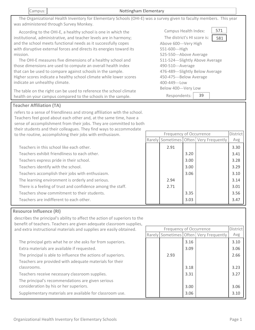The Organizational Health Inventory for Elementary Schools (OHI‐E) was a survey given to faculty members. This year was administered through Survey Monkey.

 According to the OHI‐E, a healthy school is one in which the institutional, administrative, and teacher levels are in harmony; and the school meets functional needs as it successfully copes with disruptive external forces and directs its energies toward its mission.

The OHI-E measures five dimensions of a healthy school and those dimensions are used to compute an overall health index that can be used to compare against schools in the sample. Higher scores indicate a healthy school climate while lower scores indicate an unhealthy climate.

The table on the right can be used to reference the school climate health on your campus compared to the schools in the sample.

## **Teacher Affiliation (TA)**

refers to a sense of friendliness and strong affiliation with the school. Teachers feel good about each other and, at the same time, have a sense of accomplishment from their jobs. They are committed to both their students and their colleagues. They find ways to accommodate to the routine, accomplishing their jobs with enthusiasm. Rarely Sometimes Often Very Frequently

| Teachers in this school like each other.                    | 2.91 |      |
|-------------------------------------------------------------|------|------|
| Teachers exhibit friendliness to each other.                |      | 3.20 |
| Teachers express pride in their school.                     |      | 3.00 |
| Teachers identify with the school.                          |      | 3.00 |
| Teachers accomplish their jobs with enthusiasm.             |      | 3.06 |
| The learning environment is orderly and serious.            | 2.94 |      |
| There is a feeling of trust and confidence among the staff. | 2.71 |      |
| Teachers show commitment to their students.                 |      | 3.35 |
| Teachers are indifferent to each other.                     |      | 3.03 |

| Teachers in this school like each other.                    | 2.91 |      | 3.30 |
|-------------------------------------------------------------|------|------|------|
| Teachers exhibit friendliness to each other.                |      | 3.20 | 3.41 |
| Teachers express pride in their school.                     |      | 3.00 | 3.28 |
| Teachers identify with the school.                          |      | 3.00 | 3.29 |
| Teachers accomplish their jobs with enthusiasm.             |      | 3.06 | 3.10 |
| The learning environment is orderly and serious.            | 2.94 |      | 3.14 |
| There is a feeling of trust and confidence among the staff. | 2.71 |      | 3.01 |
| Teachers show commitment to their students.                 |      | 3.35 | 3.56 |

# **Resource Influence (RI)**

describes the principal's ability to affect the action of superiors to the benefit of teachers. Teachers are given adequate classroom supplies, and extra instructional materials and supplies are easily obtained. 3.16 Extra materials are available if requested. The principal gets what he or she asks for from superiors. The principal is able to influence the actions of superiors. Teachers are provided with adequate materials for their classrooms. Teachers receive necessary classroom supplies. The principal's recommendations are given serious consideration by his or her superiors. 3.09 2.93 3.18 3.31 3.00 Supplementary materials are available for classroom use. **1998 13.06** 3.06 Rarely Sometimes Often Very Frequently Frequency of Occurrence **District** Avg 3.10 3.06 2.66 3.23 3.27 3.06 3.10

| 571<br>Campus Health Index:        |  |
|------------------------------------|--|
| The district's HI score is:<br>581 |  |
| Above 600--- Very High             |  |
| 551-600---High                     |  |
| 525-550---Above Average            |  |
| 511-524---Slightly Above Average   |  |
| 490-510---Average                  |  |
| 476-489---Slightly Below Average   |  |
| 450-475---Below Average            |  |
| 400-449---Low                      |  |
| Below 400---Very Low               |  |
| Respondents:<br>39                 |  |

Frequency of Occurrence District

 $\Delta$ <sub>V</sub> $\sigma$ 

3.47

#### Campus: Nottingham Elementary